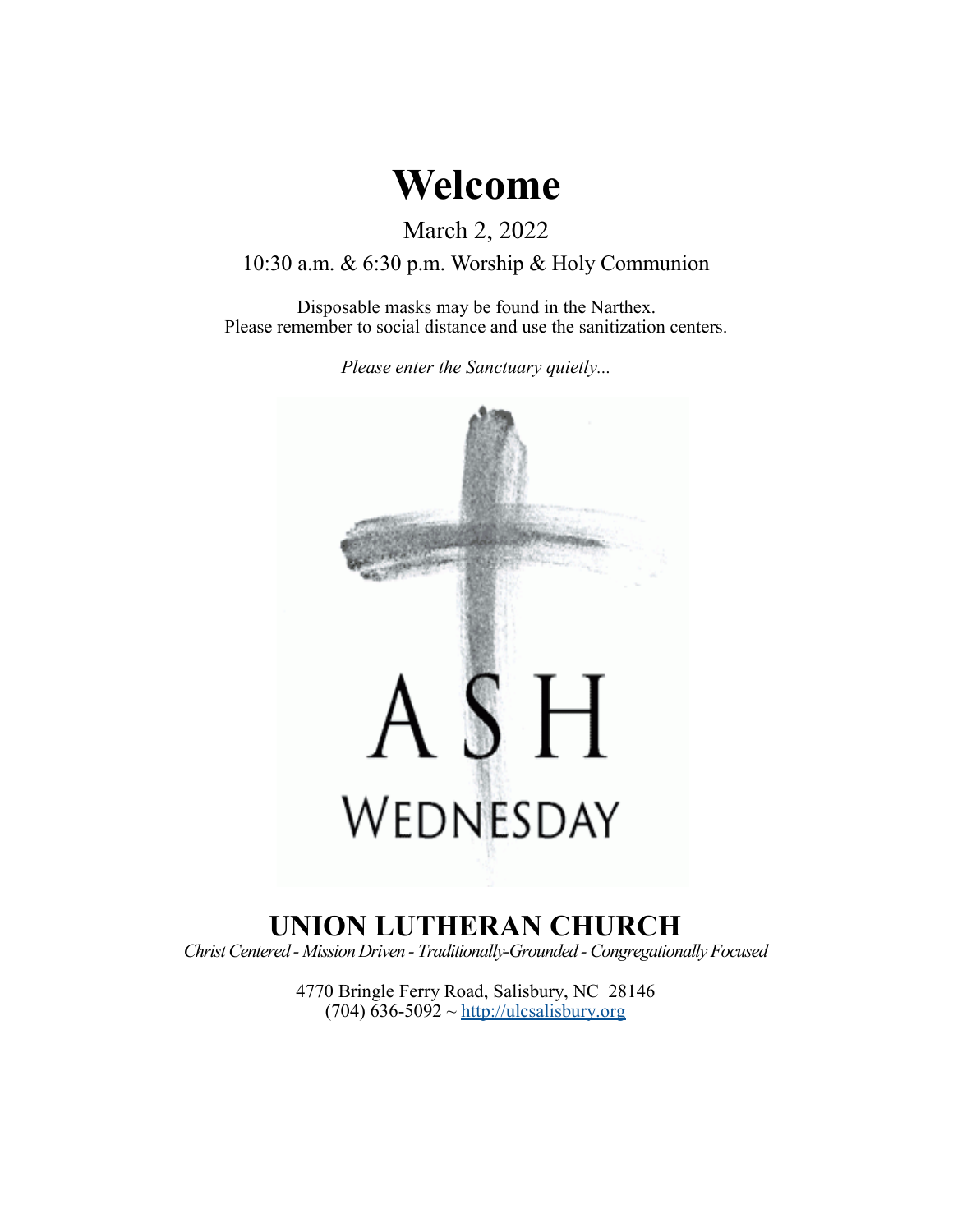# **Welcome**

March 2, 2022

10:30 a.m. & 6:30 p.m. Worship & Holy Communion

Disposable masks may be found in the Narthex. Please remember to social distance and use the sanitization centers.

*Please enter the Sanctuary quietly...*



# **UNION LUTHERAN CHURCH**

*Christ Centered - Mission Driven - Traditionally-Grounded -Congregationally Focused*

4770 Bringle Ferry Road, Salisbury, NC 28146  $(704)$  636-5092 ~<http://ulcsalisbury.org>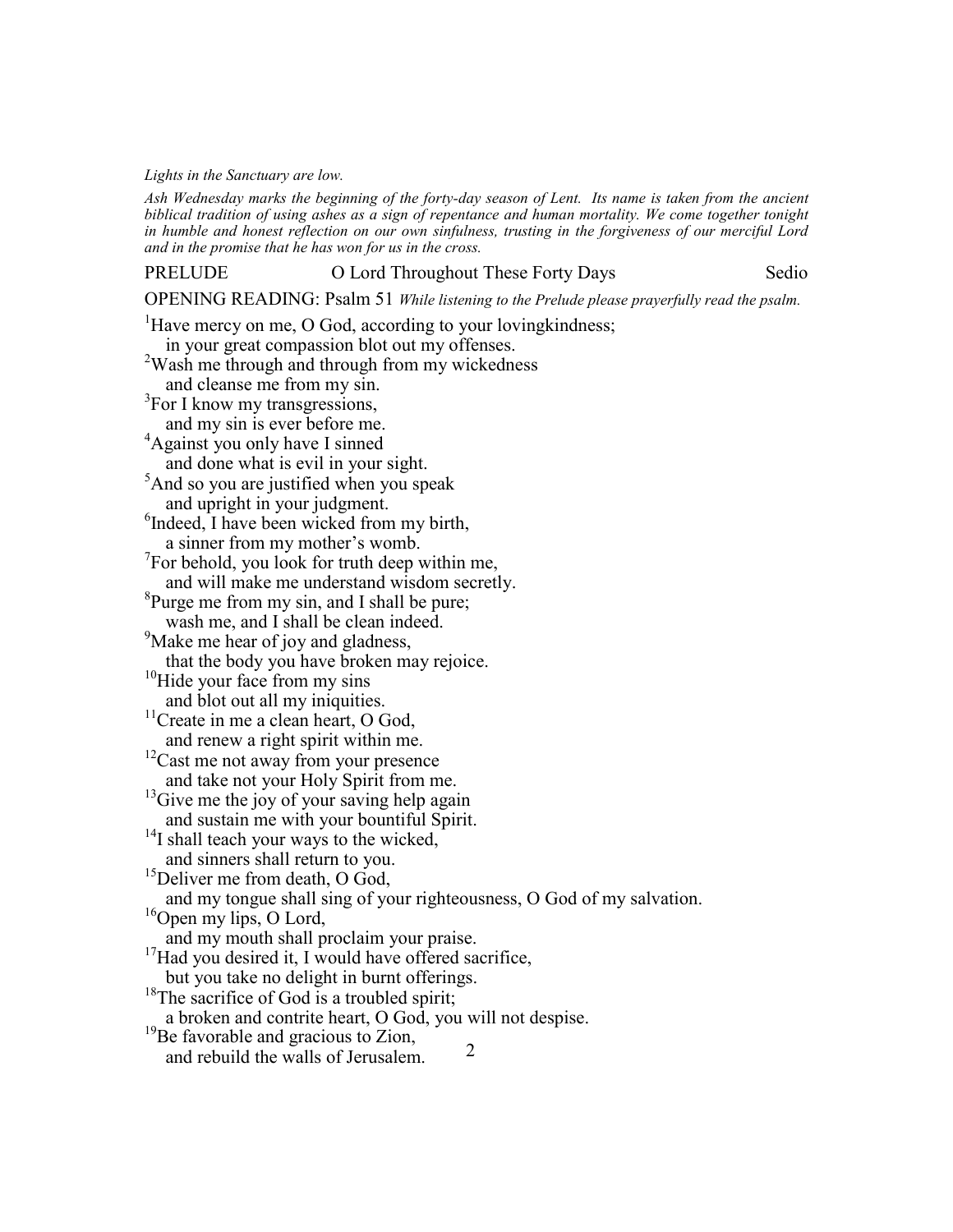*Lights in the Sanctuary are low.*

*Ash Wednesday marks the beginning of the forty-day season of Lent. Its name is taken from the ancient biblical tradition of using ashes as a sign of repentance and human mortality. We come together tonight in humble and honest reflection on our own sinfulness, trusting in the forgiveness of our merciful Lord and in the promise that he has won for us in the cross.*

PRELUDE O Lord Throughout These Forty Days Sedio

OPENING READING: Psalm 51 *While listening to the Prelude please prayerfully read the psalm.*

<sup>1</sup>Have mercy on me, O God, according to your loving kindness; in your great compassion blot out my offenses. <sup>2</sup>Wash me through and through from my wickedness and cleanse me from my sin. <sup>3</sup>For I know my transgressions, and my sin is ever before me. <sup>4</sup>Against you only have I sinned and done what is evil in your sight. <sup>5</sup>And so you are justified when you speak and upright in your judgment. 6 Indeed, I have been wicked from my birth, a sinner from my mother's womb.  $7$ For behold, you look for truth deep within me, and will make me understand wisdom secretly.  ${}^{8}$ Purge me from my sin, and I shall be pure; wash me, and I shall be clean indeed. <sup>9</sup>Make me hear of joy and gladness, that the body you have broken may rejoice. <sup>10</sup>Hide your face from my sins and blot out all my iniquities. <sup>11</sup>Create in me a clean heart, O God, and renew a right spirit within me.  $12$ Cast me not away from your presence and take not your Holy Spirit from me.  $13$ Give me the joy of your saving help again and sustain me with your bountiful Spirit. <sup>14</sup>I shall teach your ways to the wicked, and sinners shall return to you. <sup>15</sup>Deliver me from death, O God, and my tongue shall sing of your righteousness, O God of my salvation.  $16$ Open my lips, O Lord, and my mouth shall proclaim your praise.  $17$ Had you desired it, I would have offered sacrifice, but you take no delight in burnt offerings. <sup>18</sup>The sacrifice of God is a troubled spirit; a broken and contrite heart, O God, you will not despise.  $19$ Be favorable and gracious to Zion, and rebuild the walls of Jerusalem. 2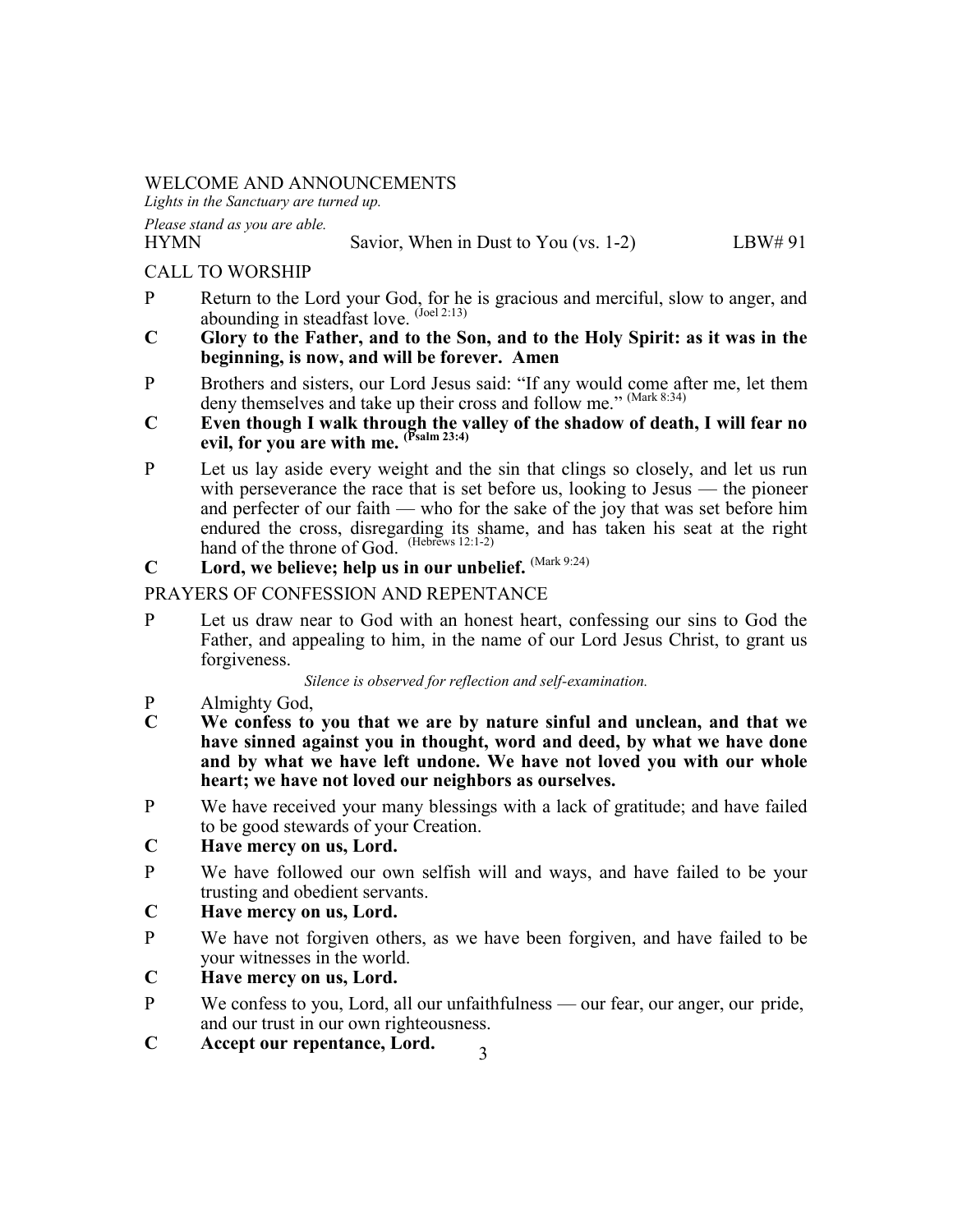# WELCOME AND ANNOUNCEMENTS

*Lights in the Sanctuary are turned up.*

*Please stand as you are able.*

#### HYMN Savior, When in Dust to You (vs. 1-2) LBW# 91

# CALL TO WORSHIP

- P Return to the Lord your God, for he is gracious and merciful, slow to anger, and abounding in steadfast love.  $^{(Joel 2:13)}$
- **C Glory to the Father, and to the Son, and to the Holy Spirit: as it was in the beginning, is now, and will be forever. Amen**
- P Brothers and sisters, our Lord Jesus said: "If any would come after me, let them deny themselves and take up their cross and follow me." (Mark 8:34)
- **C Even though I walk through the valley of the shadow of death, I will fear no evil, for you are with me. (Psalm 23:4)**
- P Let us lay aside every weight and the sin that clings so closely, and let us run with perseverance the race that is set before us, looking to Jesus — the pioneer and perfecter of our faith — who for the sake of the joy that was set before him endured the cross, disregarding its shame, and has taken his seat at the right hand of the throne of God. (Hebrews 12:1-2)
- **C Lord, we believe; help us in our unbelief.** (Mark 9:24)

# PRAYERS OF CONFESSION AND REPENTANCE

P Let us draw near to God with an honest heart, confessing our sins to God the Father, and appealing to him, in the name of our Lord Jesus Christ, to grant us forgiveness.

*Silence is observed for reflection and self-examination.*

- P Almighty God,<br>C We confess to
- **C We confess to you that we are by nature sinful and unclean, and that we have sinned against you in thought, word and deed, by what we have done and by what we have left undone. We have not loved you with our whole heart; we have not loved our neighbors as ourselves.**
- P We have received your many blessings with a lack of gratitude; and have failed to be good stewards of your Creation.
- **C Have mercy on us, Lord.**
- P We have followed our own selfish will and ways, and have failed to be your trusting and obedient servants.

# **C Have mercy on us, Lord.**

P We have not forgiven others, as we have been forgiven, and have failed to be your witnesses in the world.

# **C Have mercy on us, Lord.**

- P We confess to you, Lord, all our unfaithfulness our fear, our anger, our pride, and our trust in our own righteousness.
- **C Accept our repentance, Lord.** 3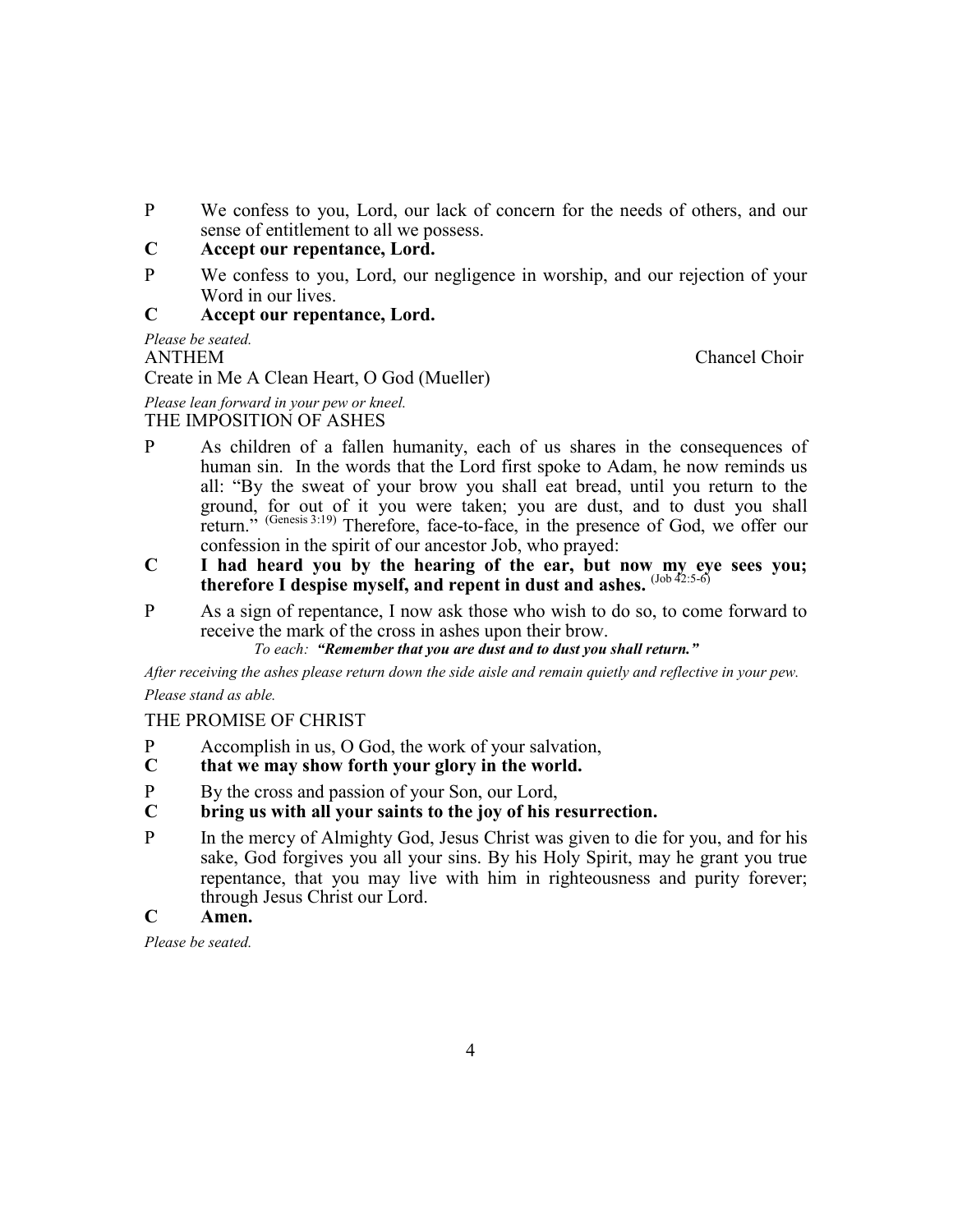P We confess to you, Lord, our lack of concern for the needs of others, and our sense of entitlement to all we possess.

# **C Accept our repentance, Lord.**

P We confess to you, Lord, our negligence in worship, and our rejection of your Word in our lives.

#### **C Accept our repentance, Lord.**

*Please be seated.* ANTHEM Chancel Choir Create in Me A Clean Heart, O God (Mueller)

*Please lean forward in your pew or kneel.* THE IMPOSITION OF ASHES

- P As children of a fallen humanity, each of us shares in the consequences of human sin. In the words that the Lord first spoke to Adam, he now reminds us all: "By the sweat of your brow you shall eat bread, until you return to the ground, for out of it you were taken; you are dust, and to dust you shall return." (Genesis 3:19) Therefore, face-to-face, in the presence of God, we offer our confession in the spirit of our ancestor Job, who prayed:
- **C I had heard you by the hearing of the ear, but now my eye sees you; therefore I despise myself, and repent in dust and ashes.** (Job 42:5-6)
- P As a sign of repentance, I now ask those who wish to do so, to come forward to receive the mark of the cross in ashes upon their brow.

*To each: "Remember that you are dust and to dust you shall return."*

*After receiving the ashes please return down the side aisle and remain quietly and reflective in your pew. Please stand as able.*

# THE PROMISE OF CHRIST

- P Accomplish in us, O God, the work of your salvation,<br> **C** that we may show forth your glory in the world.
- **C that we may show forth your glory in the world.**
- P By the cross and passion of your Son, our Lord,
- **C bring us with all your saints to the joy of his resurrection.**
- P In the mercy of Almighty God, Jesus Christ was given to die for you, and for his sake, God forgives you all your sins. By his Holy Spirit, may he grant you true repentance, that you may live with him in righteousness and purity forever; through Jesus Christ our Lord.
- **C Amen.**

*Please be seated.*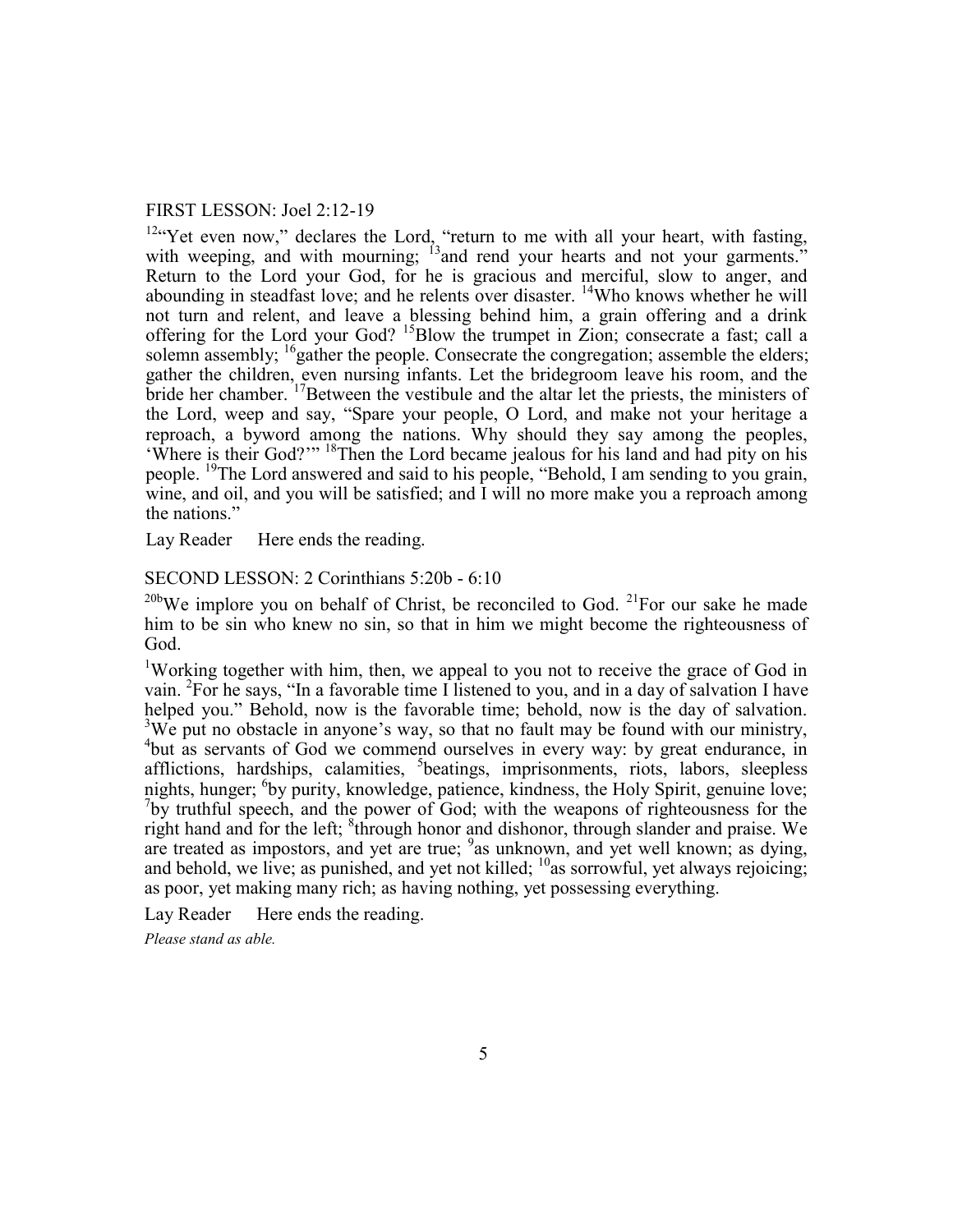#### FIRST LESSON: Joel 2:12-19

<sup>12"</sup>Yet even now," declares the Lord, "return to me with all your heart, with fasting, with weeping, and with mourning;  $^{13}$  and rend your hearts and not your garments." Return to the Lord your God, for he is gracious and merciful, slow to anger, and abounding in steadfast love; and he relents over disaster. <sup>14</sup>Who knows whether he will not turn and relent, and leave a blessing behind him, a grain offering and a drink offering for the Lord your God? <sup>15</sup>Blow the trumpet in Zion; consecrate a fast; call a solemn assembly; <sup>16</sup>gather the people. Consecrate the congregation; assemble the elders; gather the children, even nursing infants. Let the bridegroom leave his room, and the bride her chamber. <sup>17</sup>Between the vestibule and the altar let the priests, the ministers of the Lord, weep and say, "Spare your people, O Lord, and make not your heritage a reproach, a byword among the nations. Why should they say among the peoples, 'Where is their God?'" <sup>18</sup>Then the Lord became jealous for his land and had pity on his people. <sup>19</sup>The Lord answered and said to his people, "Behold, I am sending to you grain, wine, and oil, and you will be satisfied; and I will no more make you a reproach among the nations."

Lay Reader Here ends the reading.

#### SECOND LESSON: 2 Corinthians 5:20b - 6:10

<sup>20b</sup>We implore you on behalf of Christ, be reconciled to God. <sup>21</sup>For our sake he made him to be sin who knew no sin, so that in him we might become the righteousness of God.

<sup>1</sup>Working together with him, then, we appeal to you not to receive the grace of God in vain. <sup>2</sup>For he says, "In a favorable time I listened to you, and in a day of salvation I have helped you." Behold, now is the favorable time; behold, now is the day of salvation. <sup>3</sup>We put no obstacle in anyone's way, so that no fault may be found with our ministry, <sup>4</sup>but as servants of God we commend ourselves in every way: by great endurance, in afflictions, hardships, calamities, <sup>5</sup>beatings, imprisonments, riots, labors, sleepless nights, hunger; <sup>6</sup>by purity, knowledge, patience, kindness, the Holy Spirit, genuine love;  $7$ by truthful speech, and the power of God; with the weapons of righteousness for the right hand and for the left;  ${}^{8}$ through honor and dishonor, through slander and praise. We are treated as impostors, and yet are true;  $9a$ s unknown, and yet well known; as dying, and behold, we live; as punished, and yet not killed;  $^{10}$  as sorrowful, yet always rejoicing; as poor, yet making many rich; as having nothing, yet possessing everything.

Lay Reader Here ends the reading.

*Please stand as able.*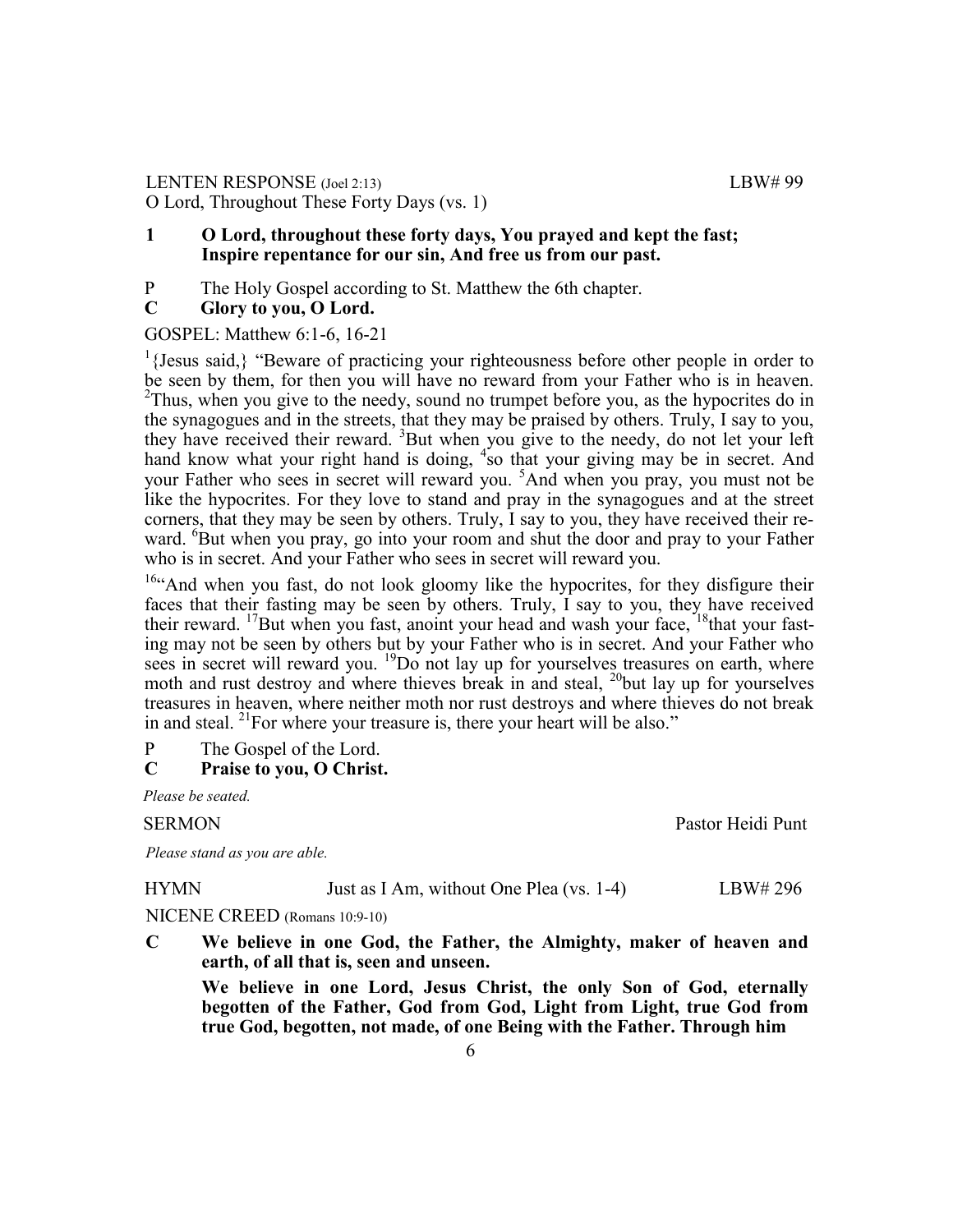## LENTEN RESPONSE (Joel 2:13) LBW# 99 O Lord, Throughout These Forty Days (vs. 1)

## **1 O Lord, throughout these forty days, You prayed and kept the fast; Inspire repentance for our sin, And free us from our past.**

P The Holy Gospel according to St. Matthew the 6th chapter.<br>C Glory to you. O Lord.

## **C Glory to you, O Lord.**

#### GOSPEL: Matthew 6:1-6, 16-21

<sup>1</sup>{Jesus said,} "Beware of practicing your righteousness before other people in order to be seen by them, for then you will have no reward from your Father who is in heaven.  $2$ Thus, when you give to the needy, sound no trumpet before you, as the hypocrites do in the synagogues and in the streets, that they may be praised by others. Truly, I say to you, they have received their reward. <sup>3</sup>But when you give to the needy, do not let your left hand know what your right hand is doing, <sup>4</sup> so that your giving may be in secret. And your Father who sees in secret will reward you. <sup>5</sup>And when you pray, you must not be like the hypocrites. For they love to stand and pray in the synagogues and at the street corners, that they may be seen by others. Truly, I say to you, they have received their reward. <sup>6</sup>But when you pray, go into your room and shut the door and pray to your Father who is in secret. And your Father who sees in secret will reward you.

<sup>16"</sup>And when you fast, do not look gloomy like the hypocrites, for they disfigure their faces that their fasting may be seen by others. Truly, I say to you, they have received their reward. <sup>17</sup>But when you fast, anoint your head and wash your face,  $18$ that your fasting may not be seen by others but by your Father who is in secret. And your Father who sees in secret will reward you. <sup>19</sup>Do not lay up for yourselves treasures on earth, where moth and rust destroy and where thieves break in and steal, <sup>20</sup>but lay up for yourselves treasures in heaven, where neither moth nor rust destroys and where thieves do not break in and steal. <sup>21</sup>For where your treasure is, there your heart will be also."

P The Gospel of the Lord.

# **C Praise to you, O Christ.**

*Please be seated.*

#### SERMON Pastor Heidi Punt

*Please stand as you are able.*

| <b>HYMN</b> | Just as I Am, without One Plea (vs. 1-4) | LBW# 296 |
|-------------|------------------------------------------|----------|
|-------------|------------------------------------------|----------|

NICENE CREED (Romans 10:9-10)

**C We believe in one God, the Father, the Almighty, maker of heaven and earth, of all that is, seen and unseen.**

**We believe in one Lord, Jesus Christ, the only Son of God, eternally begotten of the Father, God from God, Light from Light, true God from true God, begotten, not made, of one Being with the Father. Through him**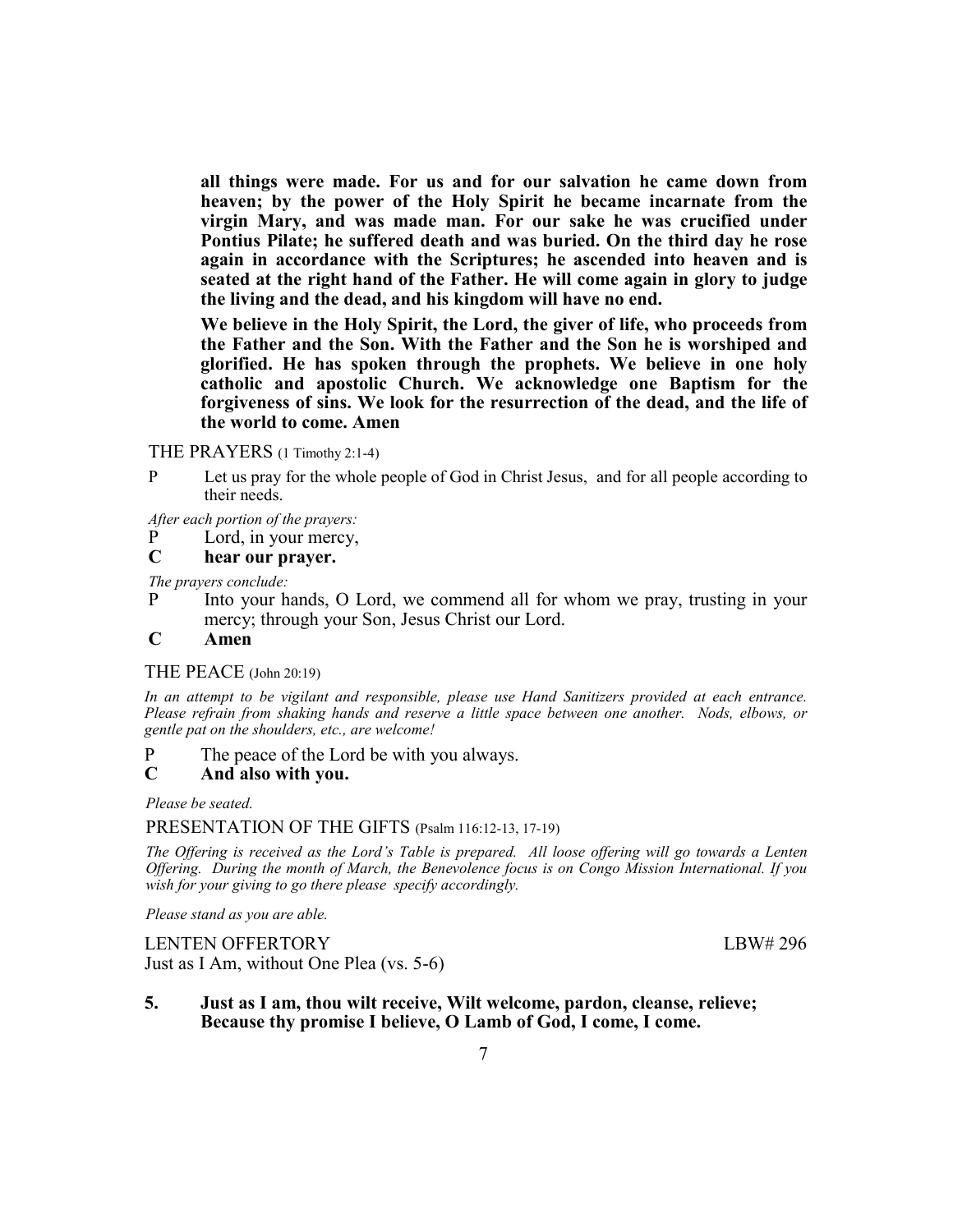**all things were made. For us and for our salvation he came down from heaven; by the power of the Holy Spirit he became incarnate from the virgin Mary, and was made man. For our sake he was crucified under Pontius Pilate; he suffered death and was buried. On the third day he rose again in accordance with the Scriptures; he ascended into heaven and is seated at the right hand of the Father. He will come again in glory to judge the living and the dead, and his kingdom will have no end.**

**We believe in the Holy Spirit, the Lord, the giver of life, who proceeds from the Father and the Son. With the Father and the Son he is worshiped and glorified. He has spoken through the prophets. We believe in one holy catholic and apostolic Church. We acknowledge one Baptism for the forgiveness of sins. We look for the resurrection of the dead, and the life of the world to come. Amen**

THE PRAYERS (1 Timothy 2:1-4)

P Let us pray for the whole people of God in Christ Jesus, and for all people according to their needs.

*After each portion of the prayers:*

- P Lord, in your mercy,
- **C hear our prayer.**

*The prayers conclude:* 

P Into your hands, O Lord, we commend all for whom we pray, trusting in your mercy; through your Son, Jesus Christ our Lord.

#### **C Amen**

#### THE PEACE (John 20:19)

*In an attempt to be vigilant and responsible, please use Hand Sanitizers provided at each entrance. Please refrain from shaking hands and reserve a little space between one another. Nods, elbows, or gentle pat on the shoulders, etc., are welcome!*

P The peace of the Lord be with you always.

#### **C And also with you.**

*Please be seated.*

#### PRESENTATION OF THE GIFTS (Psalm 116:12-13, 17-19)

*The Offering is received as the Lord's Table is prepared. All loose offering will go towards a Lenten Offering. During the month of March, the Benevolence focus is on Congo Mission International. If you wish for your giving to go there please specify accordingly.*

*Please stand as you are able.*

LENTEN OFFERTORY LBW# 296 Just as I Am, without One Plea (vs. 5-6)

**5. Just as I am, thou wilt receive, Wilt welcome, pardon, cleanse, relieve; Because thy promise I believe, O Lamb of God, I come, I come.**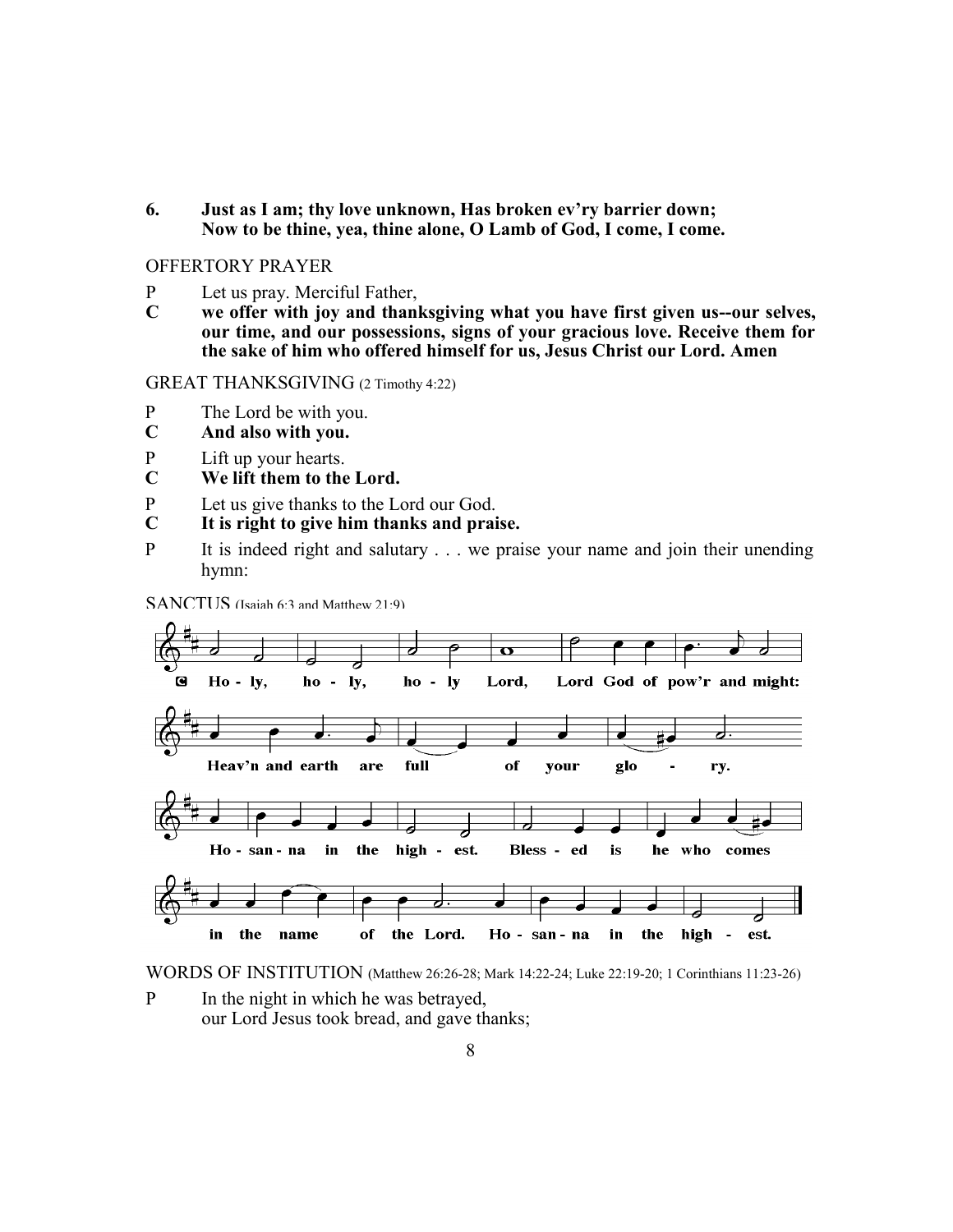**6. Just as I am; thy love unknown, Has broken ev'ry barrier down; Now to be thine, yea, thine alone, O Lamb of God, I come, I come.**

## OFFERTORY PRAYER

- P Let us pray. Merciful Father,<br>C we offer with joy and than
- **C we offer with joy and thanksgiving what you have first given us--our selves, our time, and our possessions, signs of your gracious love. Receive them for the sake of him who offered himself for us, Jesus Christ our Lord. Amen**

GREAT THANKSGIVING (2 Timothy 4:22)

- P The Lord be with you.
- **C And also with you.**
- P Lift up your hearts.
- **C We lift them to the Lord.**
- P Let us give thanks to the Lord our God.<br>C It is right to give him thanks and prai
- **C It is right to give him thanks and praise.**
- P It is indeed right and salutary . . . we praise your name and join their unending hymn:

SANCTUS (Isaiah 6:3 and Matthew 21:9)



WORDS OF INSTITUTION (Matthew 26:26-28; Mark 14:22-24; Luke 22:19-20; 1 Corinthians 11:23-26)

P In the night in which he was betrayed, our Lord Jesus took bread, and gave thanks;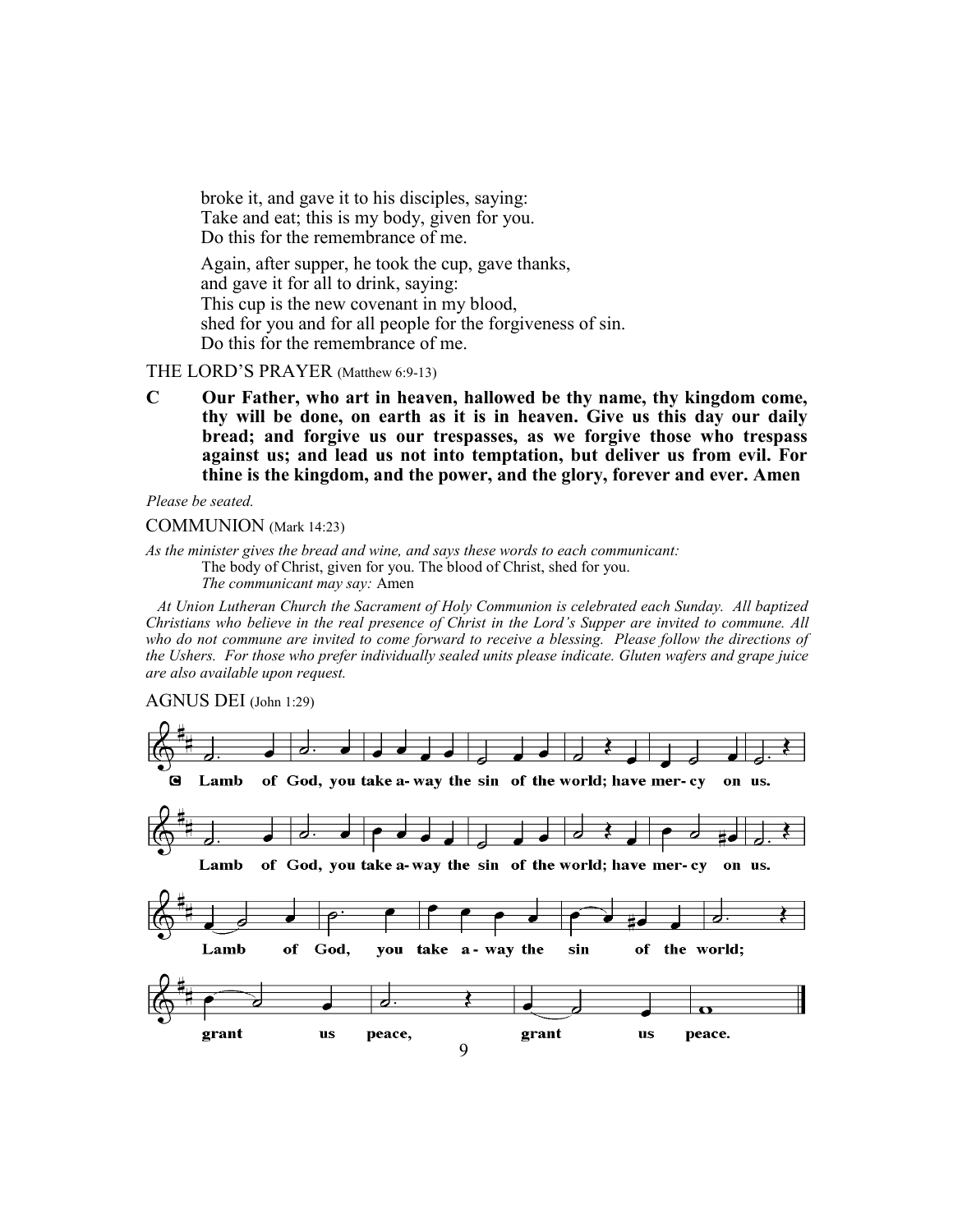broke it, and gave it to his disciples, saying: Take and eat; this is my body, given for you. Do this for the remembrance of me.

Again, after supper, he took the cup, gave thanks, and gave it for all to drink, saying: This cup is the new covenant in my blood, shed for you and for all people for the forgiveness of sin. Do this for the remembrance of me.

#### THE LORD'S PRAYER (Matthew 6:9-13)

**C Our Father, who art in heaven, hallowed be thy name, thy kingdom come, thy will be done, on earth as it is in heaven. Give us this day our daily bread; and forgive us our trespasses, as we forgive those who trespass against us; and lead us not into temptation, but deliver us from evil. For thine is the kingdom, and the power, and the glory, forever and ever. Amen**

*Please be seated.*

COMMUNION (Mark 14:23)

*As the minister gives the bread and wine, and says these words to each communicant:*

The body of Christ, given for you. The blood of Christ, shed for you.

*The communicant may say:* Amen

 *At Union Lutheran Church the Sacrament of Holy Communion is celebrated each Sunday. All baptized Christians who believe in the real presence of Christ in the Lord's Supper are invited to commune. All who do not commune are invited to come forward to receive a blessing. Please follow the directions of the Ushers. For those who prefer individually sealed units please indicate. Gluten wafers and grape juice are also available upon request.*

#### AGNUS DEI (John 1:29)

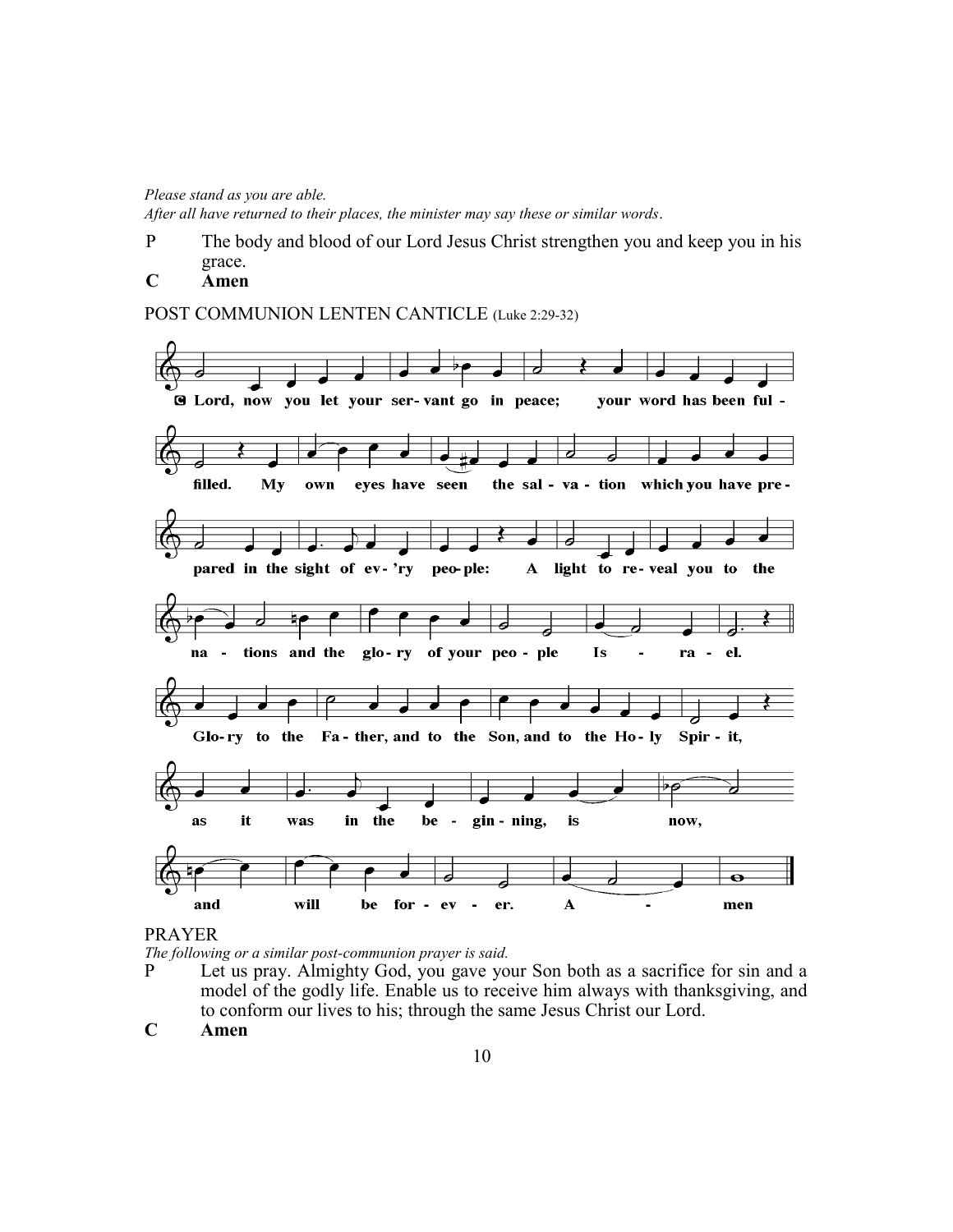*Please stand as you are able.*

*After all have returned to their places, the minister may say these or similar words*.

P The body and blood of our Lord Jesus Christ strengthen you and keep you in his grace.

# **C Amen**

POST COMMUNION LENTEN CANTICLE (Luke 2:29-32)



#### PRAYER

*The following or a similar post-communion prayer is said.*

- P Let us pray. Almighty God, you gave your Son both as a sacrifice for sin and a model of the godly life. Enable us to receive him always with thanksgiving, and to conform our lives to his; through the same Jesus Christ our Lord.
- **C Amen**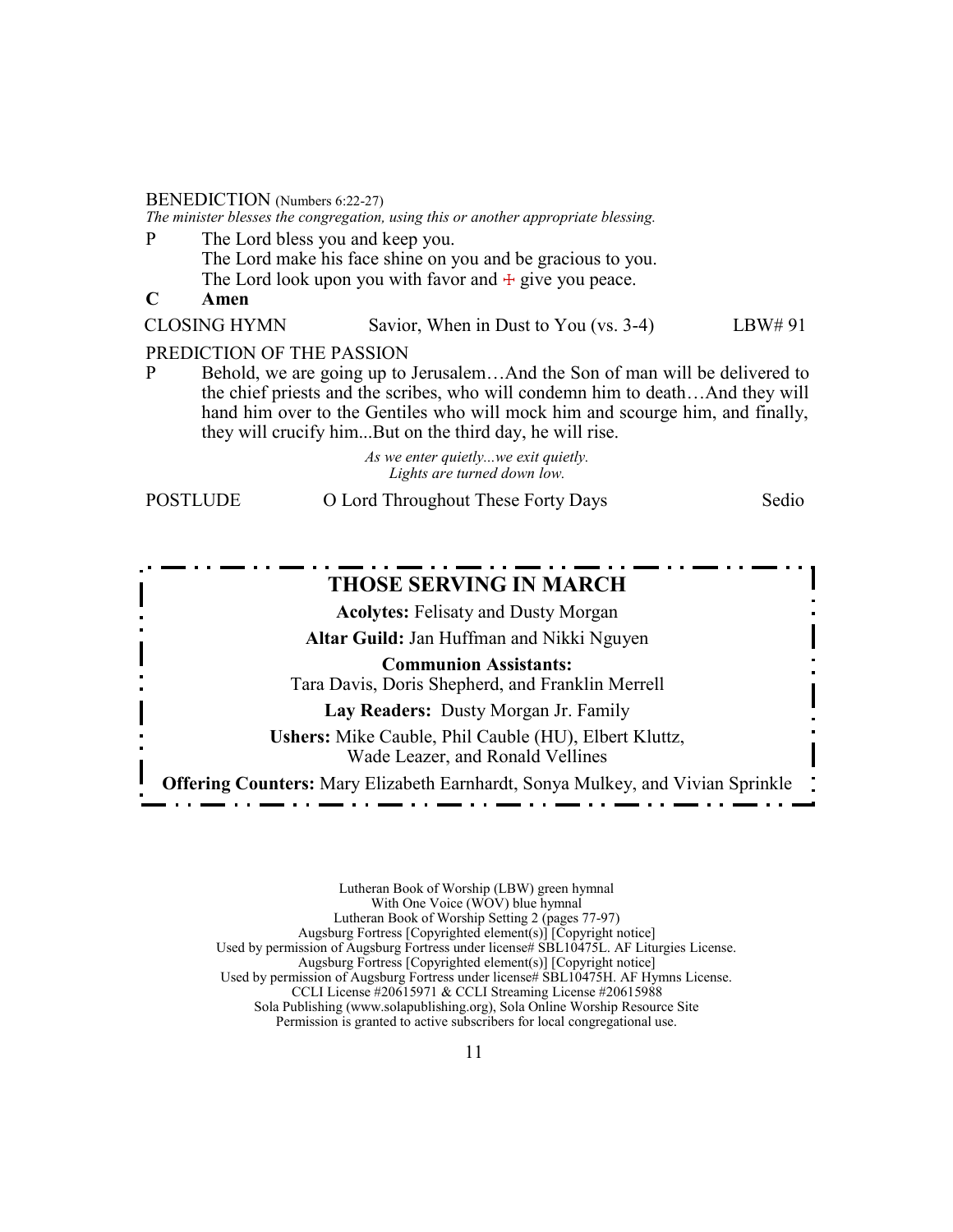#### BENEDICTION (Numbers 6:22-27)

*The minister blesses the congregation, using this or another appropriate blessing.*

- P The Lord bless you and keep you. The Lord make his face shine on you and be gracious to you. The Lord look upon you with favor and  $+$  give you peace.
- **C Amen**

CLOSING HYMN Savior, When in Dust to You (vs. 3-4) LBW# 91

#### PREDICTION OF THE PASSION

P Behold, we are going up to Jerusalem…And the Son of man will be delivered to the chief priests and the scribes, who will condemn him to death…And they will hand him over to the Gentiles who will mock him and scourge him, and finally, they will crucify him...But on the third day, he will rise.

> *As we enter quietly...we exit quietly. Lights are turned down low.*

POSTLUDE O Lord Throughout These Forty Days Sedio

# **THOSE SERVING IN MARCH**

**Acolytes:** Felisaty and Dusty Morgan **Altar Guild:** Jan Huffman and Nikki Nguyen

**Communion Assistants:**

Tara Davis, Doris Shepherd, and Franklin Merrell

**Lay Readers:** Dusty Morgan Jr. Family

**Ushers:** Mike Cauble, Phil Cauble (HU), Elbert Kluttz, Wade Leazer, and Ronald Vellines

**Offering Counters:** Mary Elizabeth Earnhardt, Sonya Mulkey, and Vivian Sprinkle

- . . . . . . .

<u>. . . . . . . .</u>

Lutheran Book of Worship (LBW) green hymnal With One Voice (WOV) blue hymnal Lutheran Book of Worship Setting 2 (pages 77-97) Augsburg Fortress [Copyrighted element(s)] [Copyright notice] Used by permission of Augsburg Fortress under license# SBL10475L. AF Liturgies License. Augsburg Fortress [Copyrighted element(s)] [Copyright notice] Used by permission of Augsburg Fortress under license# SBL10475H. AF Hymns License. CCLI License #20615971 & CCLI Streaming License #20615988 Sola Publishing (www.solapublishing.org), Sola Online Worship Resource Site Permission is granted to active subscribers for local congregational use.